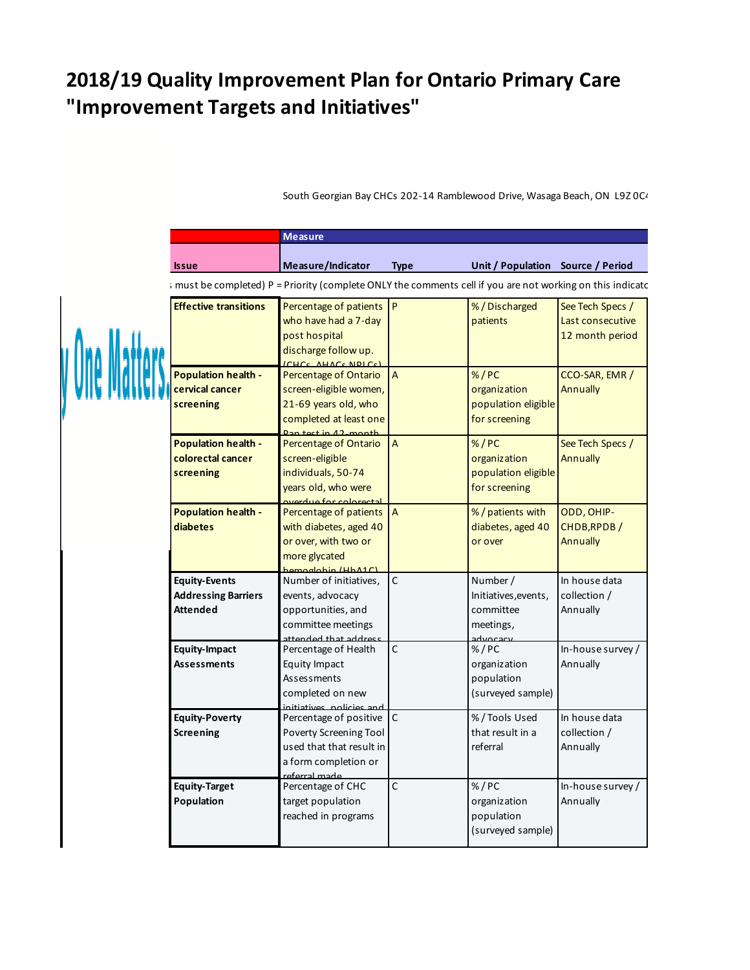## **2018/19 Quality Improvement Plan for Ontario Primary Care "Improvement Targets and Initiatives"**

**AIM Measure Quality dimension Issue Measure/Indicator Type Unit / Population Source / Period** ; must be completed) P = Priority (complete ONLY the comments cell if you are not working on this indicatc Percentage of patients who have had a 7-day post hospital discharge follow up. (CHCs, AHACs,NPLCs) % / Discharged patients See Tech Specs / Last consecutive 12 month period **Effective Effective transitions Population health cervical cancer screening** Percentage of Ontario screen-eligible women, 21-69 years old, who completed at least one Pan test in 12-month  $% / PC$ organization population eligible for screening CCO-SAR, EMR / Annually **Population health colorectal cancer screening** Percentage of Ontario screen-eligible individuals, 50-74 years old, who were overdue for colorectal  $A$  %/PC organization population eligible for screening See Tech Specs / Annually **Population health diabetes** Percentage of patients with diabetes, aged 40 or over, with two or more glycated hemoglobin (HbA1C) A 8/2 8 8 8 8 8 9 8 1 9 8 1 9 8 1 9 8 1 9 8 1 9 8 1 9 8 1 9 8 1 9 8 1 9 8 1 9 8 1 9 8 1 9 8 1 9 8 1 9 8 1 9 8 1 9 8 1 9 8 1 9 8 1 9 8 1 9 8 1 9 8 1 9 8 1 9 8 1 9 8 1 9 8 1 9 8 1 9 8 1 9 8 1 9 8 1 9 8 1 9 8 1 9 8 1 9 8 1 9 diabetes, aged 40 or over ODD, OHIP-CHDB,RPDB / Annually **Equity-Events Addressing Barriers Attended** Number of initiatives, events, advocacy opportunities, and committee meetings attended that address C Number / Initiatives,events, committee meetings, advocacy In house data collection / Annually **Equity-Impact Assessments** Percentage of Health Equity Impact Assessments completed on new initiatives, policies and C %/PC organization population (surveyed sample) In-house survey / Annually **Equity-Target Population** Percentage of CHC target population reached in programs C %/PC organization population (surveyed sample) In-house survey / Annually **Equity-Poverty Screening** Percentage of positive Poverty Screening Tool used that that result in a form completion or referral made. C % / Tools Used that result in a referral In house data collection / Annually

South Georgian Bay CHCs 202-14 Ramblewood Drive, Wasaga Beach, ON L9Z 0C4

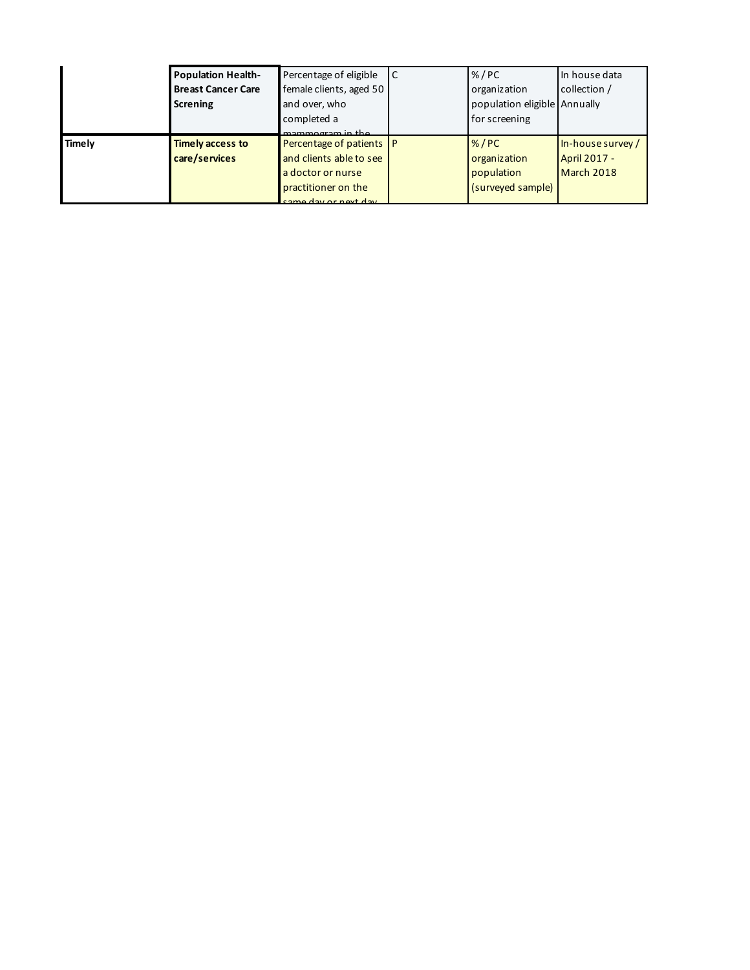|        | <b>Population Health-</b> | Percentage of eligible   | l C | % / PC                       | In house data     |
|--------|---------------------------|--------------------------|-----|------------------------------|-------------------|
|        | <b>Breast Cancer Care</b> | female clients, aged 50  |     | organization                 | collection /      |
|        | <b>Screning</b>           | and over, who            |     | population eligible Annually |                   |
|        |                           | completed a              |     | for screening                |                   |
|        |                           | mammorram in the         |     |                              |                   |
| Timely | <b>Timely access to</b>   | Percentage of patients P |     | % / PC                       | In-house survey / |
|        | care/services             | and clients able to see  |     | organization                 | April 2017 -      |
|        |                           | a doctor or nurse        |     | population                   | March 2018        |
|        |                           | practitioner on the      |     | (surveyed sample)            |                   |
|        |                           | came day or next day     |     |                              |                   |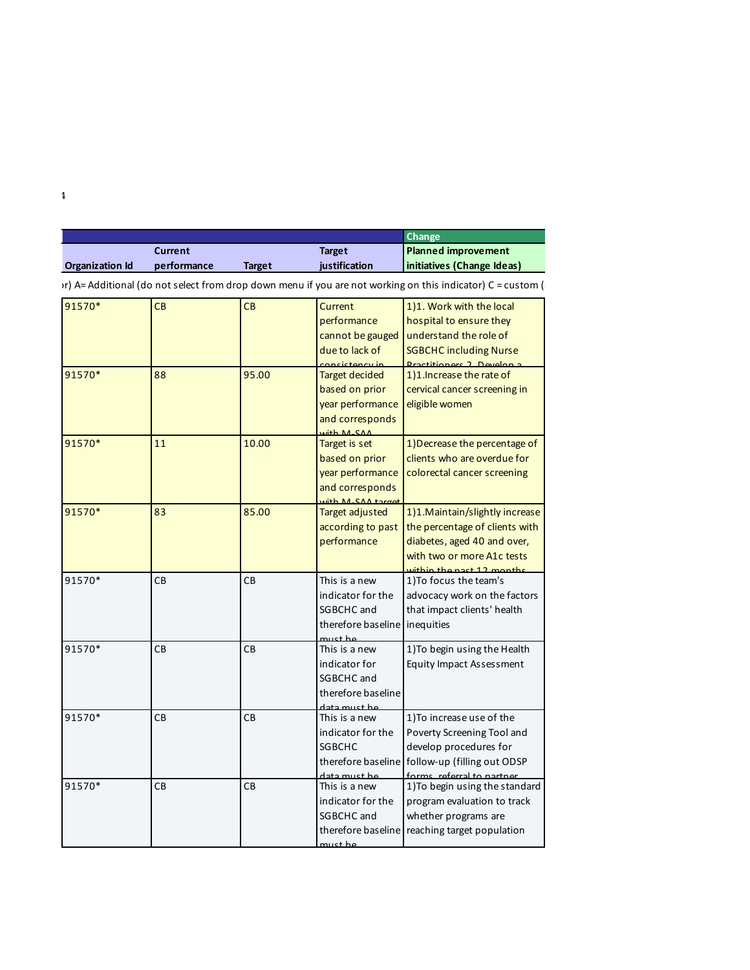|                        |                |               |                                        | Change                                                                                                      |
|------------------------|----------------|---------------|----------------------------------------|-------------------------------------------------------------------------------------------------------------|
|                        | <b>Current</b> |               | <b>Target</b>                          | Planned improvement                                                                                         |
| <b>Organization Id</b> | performance    | <b>Target</b> | justification                          | initiatives (Change Ideas)                                                                                  |
|                        |                |               |                                        | Ir) A= Additional (do not select from drop down menu if you are not working on this indicator) C = custom ( |
| 91570*                 | CB             | <b>CB</b>     | Current                                | 1)1. Work with the local                                                                                    |
|                        |                |               | performance                            | hospital to ensure they                                                                                     |
|                        |                |               | cannot be gauged                       | understand the role of                                                                                      |
|                        |                |               | due to lack of                         | <b>SGBCHC including Nurse</b>                                                                               |
| 91570*                 | 88             | 95.00         | ancictoncy in<br><b>Target decided</b> | Practitioners 2 Develops<br>1)1. Increase the rate of                                                       |
|                        |                |               | based on prior                         | cervical cancer screening in                                                                                |
|                        |                |               | year performance                       | eligible women                                                                                              |
|                        |                |               | and corresponds                        |                                                                                                             |
|                        |                |               | $u^2 + h$ $M$ $C$ $A$ $A$              |                                                                                                             |
| 91570*                 | 11             | 10.00         | Target is set                          | 1) Decrease the percentage of                                                                               |
|                        |                |               | based on prior                         | clients who are overdue for                                                                                 |
|                        |                |               | year performance                       | colorectal cancer screening                                                                                 |
|                        |                |               | and corresponds                        |                                                                                                             |
|                        |                |               | Mith M-SAA target                      |                                                                                                             |
| 91570*                 | 83             | 85.00         | Target adjusted                        | 1)1. Maintain/slightly increase                                                                             |
|                        |                |               | according to past                      | the percentage of clients with                                                                              |
|                        |                |               | performance                            | diabetes, aged 40 and over,                                                                                 |
|                        |                |               |                                        | with two or more A1c tests<br>within the nast 12 months                                                     |
| 91570*                 | CB             | CB            | This is a new                          | 1) To focus the team's                                                                                      |
|                        |                |               | indicator for the                      | advocacy work on the factors                                                                                |
|                        |                |               | SGBCHC and                             | that impact clients' health                                                                                 |
|                        |                |               | therefore baseline inequities          |                                                                                                             |
|                        |                |               | $n + h$                                |                                                                                                             |
| 91570*                 | CB             | CB            | This is a new                          | 1) To begin using the Health                                                                                |
|                        |                |               | indicator for                          | Equity Impact Assessment                                                                                    |
|                        |                |               | SGBCHC and                             |                                                                                                             |
|                        |                |               | therefore baseline                     |                                                                                                             |
| 91570*                 | CB             | CB            | data must he<br>This is a new          | 1) To increase use of the                                                                                   |
|                        |                |               | indicator for the                      | Poverty Screening Tool and                                                                                  |
|                        |                |               | <b>SGBCHC</b>                          | develop procedures for                                                                                      |
|                        |                |               | therefore baseline                     | follow-up (filling out ODSP                                                                                 |
|                        |                |               | $-+$ $-$                               |                                                                                                             |
| 91570*                 | CB             | CB            | This is a new                          | 1) To begin using the standard                                                                              |
|                        |                |               | indicator for the                      | program evaluation to track                                                                                 |
|                        |                |               | SGBCHC and                             | whether programs are                                                                                        |
|                        |                |               |                                        | therefore baseline reaching target population                                                               |
|                        |                |               | $u$ <sub>c</sub> t ho                  |                                                                                                             |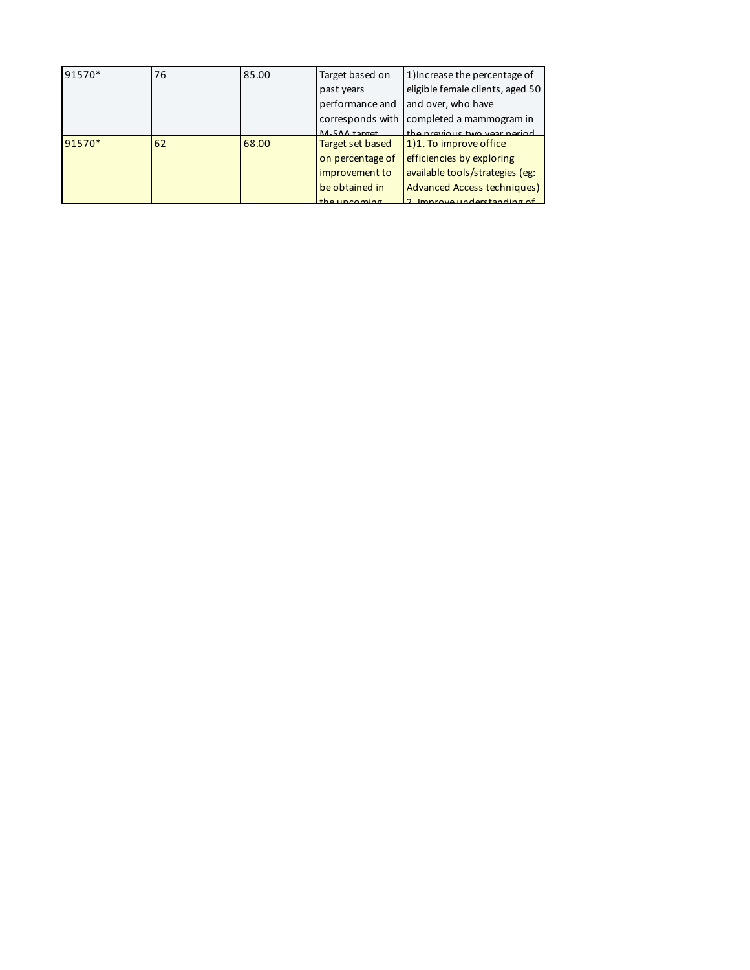| 91570* | 76 | 85.00 | Target based on             | 1) Increase the percentage of      |
|--------|----|-------|-----------------------------|------------------------------------|
|        |    |       | past years                  | eligible female clients, aged 50   |
|        |    |       | performance and             | and over, who have                 |
|        |    |       | corresponds with            | completed a mammogram in           |
|        |    |       | $M_C \Omega \Lambda$ target | the previous two year period       |
| 91570* | 62 | 68.00 | Target set based            | 1)1. To improve office             |
|        |    |       | on percentage of            | efficiencies by exploring          |
|        |    |       | improvement to              | available tools/strategies (eg:    |
|        |    |       | be obtained in              | <b>Advanced Access techniques)</b> |
|        |    |       | the uncoming                | Improve understanding of           |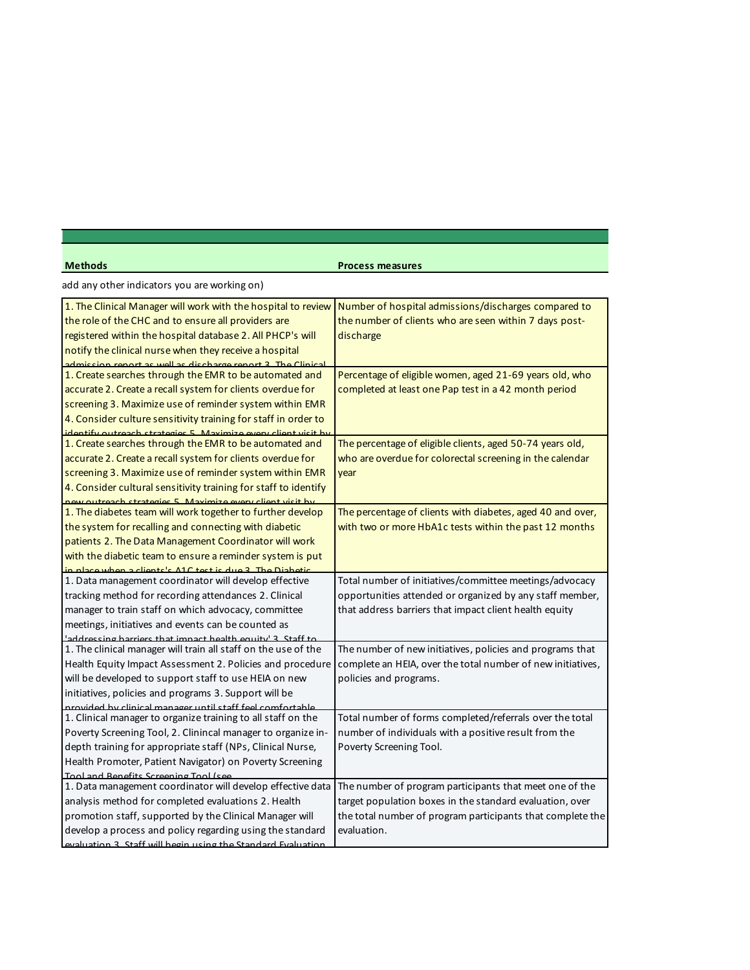| <b>Methods</b><br><b>Process measures</b>                                                                                                                                                                                                                                                                                                                                                                                                                                                                                                                             |
|-----------------------------------------------------------------------------------------------------------------------------------------------------------------------------------------------------------------------------------------------------------------------------------------------------------------------------------------------------------------------------------------------------------------------------------------------------------------------------------------------------------------------------------------------------------------------|
| add any other indicators you are working on)                                                                                                                                                                                                                                                                                                                                                                                                                                                                                                                          |
| 1. The Clinical Manager will work with the hospital to review Number of hospital admissions/discharges compared to<br>the role of the CHC and to ensure all providers are<br>the number of clients who are seen within 7 days post-<br>registered within the hospital database 2. All PHCP's will<br>discharge<br>notify the clinical nurse when they receive a hospital                                                                                                                                                                                              |
| dmission report as well as discharge report 2. The Clinical<br>1. Create searches through the EMR to be automated and<br>Percentage of eligible women, aged 21-69 years old, who<br>accurate 2. Create a recall system for clients overdue for<br>completed at least one Pap test in a 42 month period<br>screening 3. Maximize use of reminder system within EMR<br>4. Consider culture sensitivity training for staff in order to                                                                                                                                   |
| dantify outrasch stratagies 5 Maximize eveny client visit by<br>1. Create searches through the EMR to be automated and<br>The percentage of eligible clients, aged 50-74 years old,<br>accurate 2. Create a recall system for clients overdue for<br>who are overdue for colorectal screening in the calendar<br>screening 3. Maximize use of reminder system within EMR<br>year<br>4. Consider cultural sensitivity training for staff to identify                                                                                                                   |
| Lew outreach strategies 5 Maximize every client visit by<br>1. The diabetes team will work together to further develop<br>The percentage of clients with diabetes, aged 40 and over,<br>the system for recalling and connecting with diabetic<br>with two or more HbA1c tests within the past 12 months<br>patients 2. The Data Management Coordinator will work<br>with the diabetic team to ensure a reminder system is put<br>$n \cdot$ place when a cliente's $\Delta 10$ test is due 2. The Diabet                                                               |
| 1. Data management coordinator will develop effective<br>Total number of initiatives/committee meetings/advocacy<br>opportunities attended or organized by any staff member,<br>tracking method for recording attendances 2. Clinical<br>manager to train staff on which advocacy, committee<br>that address barriers that impact client health equity<br>meetings, initiatives and events can be counted as<br>$\mathsf{u}\mathsf{t}\mathsf{t}$ $\mathsf{t}$ $\mathsf{t}$ $\mathsf{t}$ $\mathsf{t}$ $\mathsf{t}$ $\mathsf{t}$ $\mathsf{t}$ $\mathsf{t}$ $\mathsf{t}$ |
| 1. The clinical manager will train all staff on the use of the<br>The number of new initiatives, policies and programs that<br>Health Equity Impact Assessment 2. Policies and procedure<br>complete an HEIA, over the total number of new initiatives,<br>will be developed to support staff to use HEIA on new<br>policies and programs.<br>initiatives, policies and programs 3. Support will be<br>ernyided by clinical manager until staff feel comfortable                                                                                                      |
| 1. Clinical manager to organize training to all staff on the<br>Total number of forms completed/referrals over the total<br>Poverty Screening Tool, 2. Clinincal manager to organize in-<br>number of individuals with a positive result from the<br>depth training for appropriate staff (NPs, Clinical Nurse,<br>Poverty Screening Tool.<br>Health Promoter, Patient Navigator) on Poverty Screening<br>Tool and Renefits Screening Tool (se                                                                                                                        |
| 1. Data management coordinator will develop effective data   The number of program participants that meet one of the<br>analysis method for completed evaluations 2. Health<br>target population boxes in the standard evaluation, over<br>promotion staff, supported by the Clinical Manager will<br>the total number of program participants that complete the<br>develop a process and policy regarding using the standard<br>evaluation.                                                                                                                          |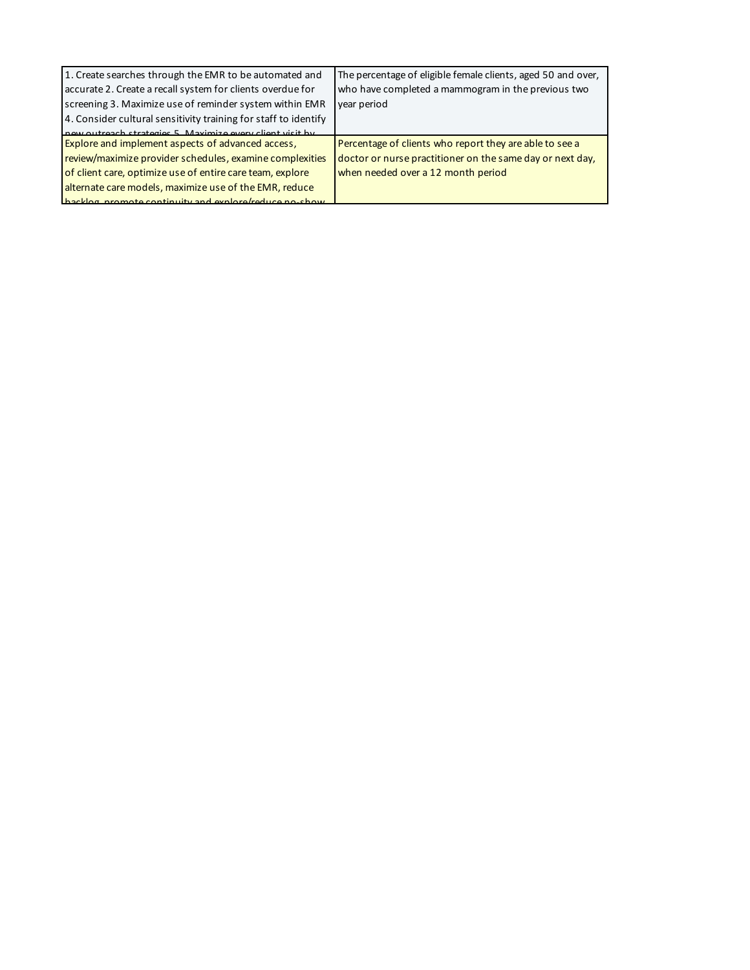| 1. Create searches through the EMR to be automated and          | The percentage of eligible female clients, aged 50 and over, |
|-----------------------------------------------------------------|--------------------------------------------------------------|
| accurate 2. Create a recall system for clients overdue for      | who have completed a mammogram in the previous two           |
| screening 3. Maximize use of reminder system within EMR         | year period                                                  |
| 4. Consider cultural sensitivity training for staff to identify |                                                              |
| now outroach strategies 5. Maximize every client visit by       |                                                              |
| <b>Explore and implement aspects of advanced access,</b>        | Percentage of clients who report they are able to see a      |
| review/maximize provider schedules, examine complexities        | doctor or nurse practitioner on the same day or next day,    |
| of client care, optimize use of entire care team, explore       | when needed over a 12 month period                           |
| alternate care models, maximize use of the EMR, reduce          |                                                              |
| hackles promote continuity and explora/reduce no-show           |                                                              |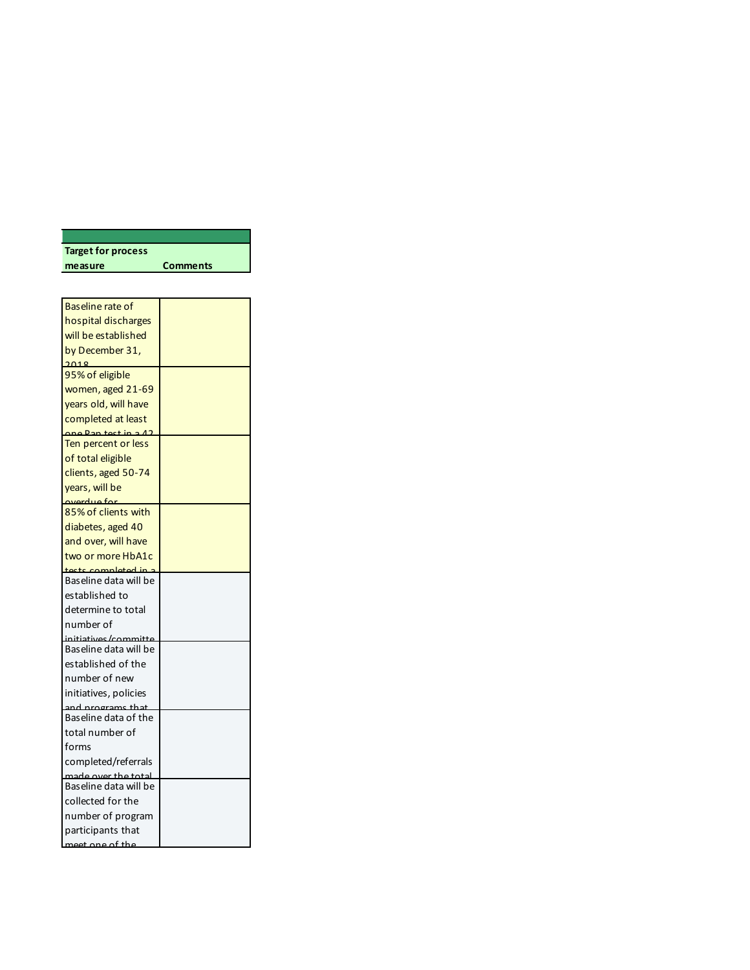| <b>Target for process</b> |                 |
|---------------------------|-----------------|
| measure                   | <b>Comments</b> |

| Baseline rate of                        |  |
|-----------------------------------------|--|
| hospital discharges                     |  |
| will be established                     |  |
| by December 31,                         |  |
| 2018                                    |  |
| 95% of eligible                         |  |
| women, aged 21-69                       |  |
| years old, will have                    |  |
| completed at least                      |  |
| ane Pan test in a 40                    |  |
| Ten percent or less                     |  |
| of total eligible                       |  |
| clients, aged 50-74                     |  |
| years, will be                          |  |
| averdue for<br>85% of clients with      |  |
| diabetes, aged 40                       |  |
| and over, will have                     |  |
|                                         |  |
| two or more HbA1c<br>tests completed in |  |
| Baseline data will be                   |  |
| established to                          |  |
| determine to total                      |  |
| number of                               |  |
| initiatives /committ                    |  |
| Baseline data will be                   |  |
| established of the                      |  |
| number of new                           |  |
| initiatives, policies                   |  |
| and programs that                       |  |
| Baseline data of the                    |  |
| total number of                         |  |
| forms                                   |  |
| completed/referrals                     |  |
| aade over the total                     |  |
| Baseline data will be                   |  |
| collected for the                       |  |
| number of program                       |  |
| participants that                       |  |
| moot ang af the                         |  |